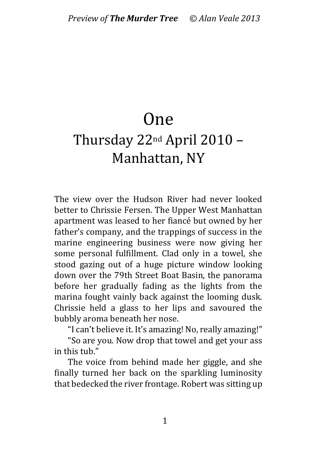## One

## Thursday 22nd April 2010 – Manhattan, NY

The view over the Hudson River had never looked better to Chrissie Fersen. The Upper West Manhattan apartment was leased to her fiancé but owned by her father's company, and the trappings of success in the marine engineering business were now giving her some personal fulfillment. Clad only in a towel, she stood gazing out of a huge picture window looking down over the 79th Street Boat Basin, the panorama before her gradually fading as the lights from the marina fought vainly back against the looming dusk. Chrissie held a glass to her lips and savoured the bubbly aroma beneath her nose.

"I can't believe it. It's amazing! No, really amazing!"

"So are you. Now drop that towel and get your ass in this tub."

The voice from behind made her giggle, and she finally turned her back on the sparkling luminosity that bedecked the river frontage. Robert was sitting up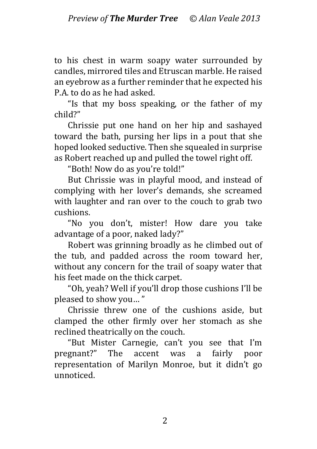to his chest in warm soapy water surrounded by candles, mirrored tiles and Etruscan marble. He raised an eyebrow as a further reminder that he expected his P.A. to do as he had asked.

"Is that my boss speaking, or the father of my child?"

Chrissie put one hand on her hip and sashayed toward the bath, pursing her lips in a pout that she hoped looked seductive. Then she squealed in surprise as Robert reached up and pulled the towel right off.

"Both! Now do as you're told!"

But Chrissie was in playful mood, and instead of complying with her lover's demands, she screamed with laughter and ran over to the couch to grab two cushions.

"No you don't, mister! How dare you take advantage of a poor, naked lady?"

Robert was grinning broadly as he climbed out of the tub, and padded across the room toward her, without any concern for the trail of soapy water that his feet made on the thick carpet.

"Oh, yeah? Well if you'll drop those cushions I'll be pleased to show you… "

Chrissie threw one of the cushions aside, but clamped the other firmly over her stomach as she reclined theatrically on the couch.

"But Mister Carnegie, can't you see that I'm pregnant?" The accent was a fairly poor representation of Marilyn Monroe, but it didn't go unnoticed.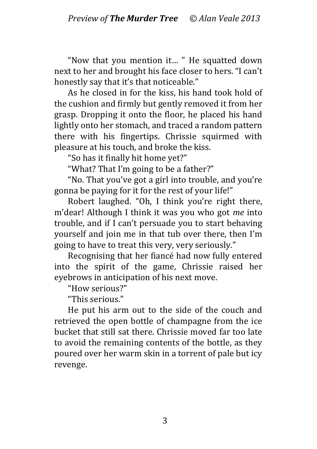"Now that you mention it… " He squatted down next to her and brought his face closer to hers. "I can't honestly say that it's that noticeable."

As he closed in for the kiss, his hand took hold of the cushion and firmly but gently removed it from her grasp. Dropping it onto the floor, he placed his hand lightly onto her stomach, and traced a random pattern there with his fingertips. Chrissie squirmed with pleasure at his touch, and broke the kiss.

"So has it finally hit home yet?"

"What? That I'm going to be a father?"

"No. That you've got a girl into trouble, and you're gonna be paying for it for the rest of your life!"

Robert laughed. "Oh, I think you're right there, m'dear! Although I think it was you who got *me* into trouble, and if I can't persuade you to start behaving yourself and join me in that tub over there, then I'm going to have to treat this very, very seriously."

Recognising that her fiancé had now fully entered into the spirit of the game, Chrissie raised her eyebrows in anticipation of his next move.

"How serious?"

"This serious."

He put his arm out to the side of the couch and retrieved the open bottle of champagne from the ice bucket that still sat there. Chrissie moved far too late to avoid the remaining contents of the bottle, as they poured over her warm skin in a torrent of pale but icy revenge.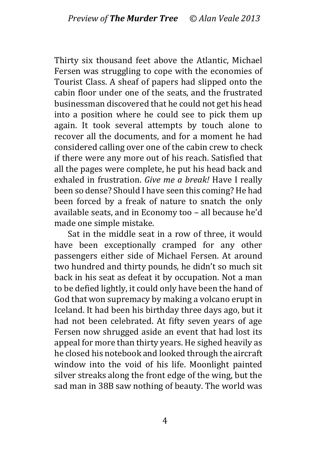Thirty six thousand feet above the Atlantic, Michael Fersen was struggling to cope with the economies of Tourist Class. A sheaf of papers had slipped onto the cabin floor under one of the seats, and the frustrated businessman discovered that he could not get his head into a position where he could see to pick them up again. It took several attempts by touch alone to recover all the documents, and for a moment he had considered calling over one of the cabin crew to check if there were any more out of his reach. Satisfied that all the pages were complete, he put his head back and exhaled in frustration. *Give me a break!* Have I really been so dense? Should I have seen this coming? He had been forced by a freak of nature to snatch the only available seats, and in Economy too – all because he'd made one simple mistake.

Sat in the middle seat in a row of three, it would have been exceptionally cramped for any other passengers either side of Michael Fersen. At around two hundred and thirty pounds, he didn't so much sit back in his seat as defeat it by occupation. Not a man to be defied lightly, it could only have been the hand of God that won supremacy by making a volcano erupt in Iceland. It had been his birthday three days ago, but it had not been celebrated. At fifty seven years of age Fersen now shrugged aside an event that had lost its appeal for more than thirty years. He sighed heavily as he closed his notebook and looked through the aircraft window into the void of his life. Moonlight painted silver streaks along the front edge of the wing, but the sad man in 38B saw nothing of beauty. The world was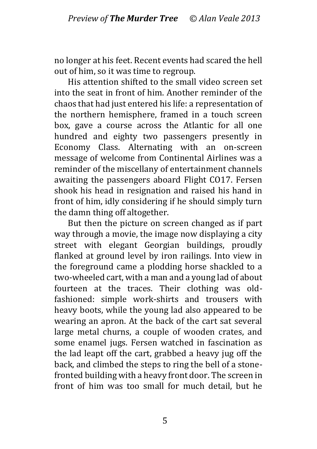no longer at his feet. Recent events had scared the hell out of him, so it was time to regroup.

His attention shifted to the small video screen set into the seat in front of him. Another reminder of the chaos that had just entered his life: a representation of the northern hemisphere, framed in a touch screen box, gave a course across the Atlantic for all one hundred and eighty two passengers presently in Economy Class. Alternating with an on-screen message of welcome from Continental Airlines was a reminder of the miscellany of entertainment channels awaiting the passengers aboard Flight CO17. Fersen shook his head in resignation and raised his hand in front of him, idly considering if he should simply turn the damn thing off altogether.

But then the picture on screen changed as if part way through a movie, the image now displaying a city street with elegant Georgian buildings, proudly flanked at ground level by iron railings. Into view in the foreground came a plodding horse shackled to a two-wheeled cart, with a man and a young lad of about fourteen at the traces. Their clothing was oldfashioned: simple work-shirts and trousers with heavy boots, while the young lad also appeared to be wearing an apron. At the back of the cart sat several large metal churns, a couple of wooden crates, and some enamel jugs. Fersen watched in fascination as the lad leapt off the cart, grabbed a heavy jug off the back, and climbed the steps to ring the bell of a stonefronted building with a heavy front door. The screen in front of him was too small for much detail, but he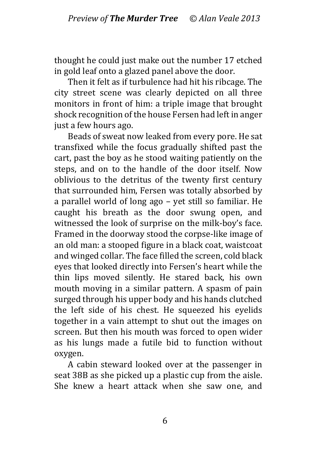thought he could just make out the number 17 etched in gold leaf onto a glazed panel above the door.

Then it felt as if turbulence had hit his ribcage. The city street scene was clearly depicted on all three monitors in front of him: a triple image that brought shock recognition of the house Fersen had left in anger just a few hours ago.

Beads of sweat now leaked from every pore. He sat transfixed while the focus gradually shifted past the cart, past the boy as he stood waiting patiently on the steps, and on to the handle of the door itself. Now oblivious to the detritus of the twenty first century that surrounded him, Fersen was totally absorbed by a parallel world of long ago – yet still so familiar. He caught his breath as the door swung open, and witnessed the look of surprise on the milk-boy's face. Framed in the doorway stood the corpse-like image of an old man: a stooped figure in a black coat, waistcoat and winged collar. The face filled the screen, cold black eyes that looked directly into Fersen's heart while the thin lips moved silently. He stared back, his own mouth moving in a similar pattern. A spasm of pain surged through his upper body and his hands clutched the left side of his chest. He squeezed his eyelids together in a vain attempt to shut out the images on screen. But then his mouth was forced to open wider as his lungs made a futile bid to function without oxygen.

A cabin steward looked over at the passenger in seat 38B as she picked up a plastic cup from the aisle. She knew a heart attack when she saw one, and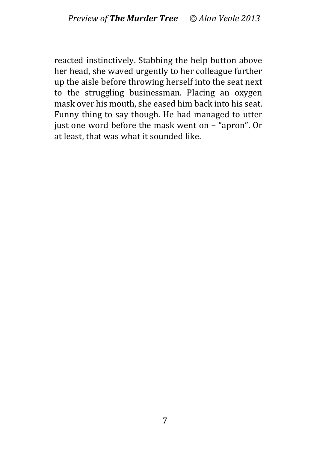reacted instinctively. Stabbing the help button above her head, she waved urgently to her colleague further up the aisle before throwing herself into the seat next to the struggling businessman. Placing an oxygen mask over his mouth, she eased him back into his seat. Funny thing to say though. He had managed to utter just one word before the mask went on – "apron". Or at least, that was what it sounded like.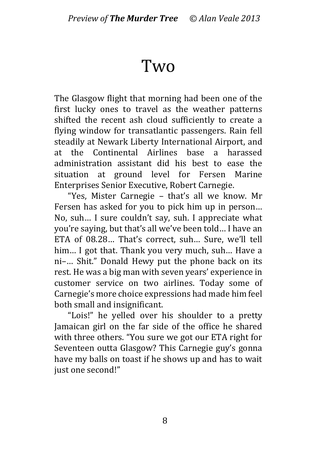## Two

The Glasgow flight that morning had been one of the first lucky ones to travel as the weather patterns shifted the recent ash cloud sufficiently to create a flying window for transatlantic passengers. Rain fell steadily at Newark Liberty International Airport, and at the Continental Airlines base a harassed administration assistant did his best to ease the situation at ground level for Fersen Marine Enterprises Senior Executive, Robert Carnegie.

"Yes, Mister Carnegie – that's all we know. Mr Fersen has asked for you to pick him up in person… No, suh… I sure couldn't say, suh. I appreciate what you're saying, but that's all we've been told… I have an ETA of 08.28… That's correct, suh… Sure, we'll tell him… I got that. Thank you very much, suh… Have a ni–… Shit." Donald Hewy put the phone back on its rest. He was a big man with seven years' experience in customer service on two airlines. Today some of Carnegie's more choice expressions had made him feel both small and insignificant.

"Lois!" he yelled over his shoulder to a pretty Jamaican girl on the far side of the office he shared with three others. "You sure we got our ETA right for Seventeen outta Glasgow? This Carnegie guy's gonna have my balls on toast if he shows up and has to wait just one second!"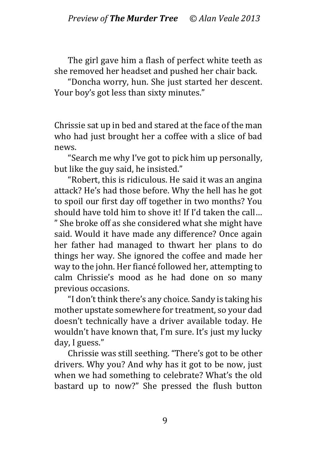The girl gave him a flash of perfect white teeth as she removed her headset and pushed her chair back.

"Doncha worry, hun. She just started her descent. Your boy's got less than sixty minutes."

Chrissie sat up in bed and stared at the face of the man who had just brought her a coffee with a slice of bad news.

"Search me why I've got to pick him up personally, but like the guy said, he insisted."

"Robert, this is ridiculous. He said it was an angina attack? He's had those before. Why the hell has he got to spoil our first day off together in two months? You should have told him to shove it! If I'd taken the call… " She broke off as she considered what she might have said. Would it have made any difference? Once again her father had managed to thwart her plans to do things her way. She ignored the coffee and made her way to the john. Her fiancé followed her, attempting to calm Chrissie's mood as he had done on so many previous occasions.

"I don't think there's any choice. Sandy is taking his mother upstate somewhere for treatment, so your dad doesn't technically have a driver available today. He wouldn't have known that, I'm sure. It's just my lucky day, I guess."

Chrissie was still seething. "There's got to be other drivers. Why you? And why has it got to be now, just when we had something to celebrate? What's the old bastard up to now?" She pressed the flush button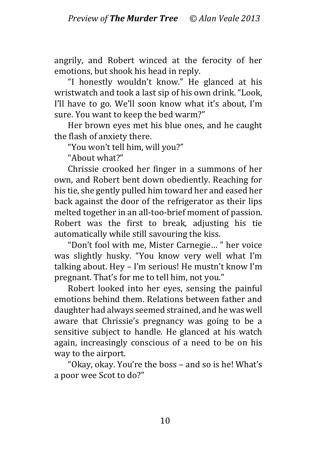angrily, and Robert winced at the ferocity of her emotions, but shook his head in reply.

"I honestly wouldn't know." He glanced at his wristwatch and took a last sip of his own drink. "Look, I'll have to go. We'll soon know what it's about, I'm sure. You want to keep the bed warm?"

Her brown eyes met his blue ones, and he caught the flash of anxiety there.

"You won't tell him, will you?"

"About what?"

Chrissie crooked her finger in a summons of her own, and Robert bent down obediently. Reaching for his tie, she gently pulled him toward her and eased her back against the door of the refrigerator as their lips melted together in an all-too-brief moment of passion. Robert was the first to break, adjusting his tie automatically while still savouring the kiss.

"Don't fool with me, Mister Carnegie… " her voice was slightly husky. "You know very well what I'm talking about. Hey – I'm serious! He mustn't know I'm pregnant. That's for me to tell him, not you."

Robert looked into her eyes, sensing the painful emotions behind them. Relations between father and daughter had always seemed strained, and he was well aware that Chrissie's pregnancy was going to be a sensitive subject to handle. He glanced at his watch again, increasingly conscious of a need to be on his way to the airport.

"Okay, okay. You're the boss – and so is he! What's a poor wee Scot to do?"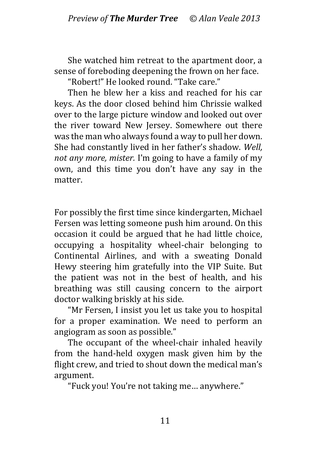She watched him retreat to the apartment door, a sense of foreboding deepening the frown on her face.

"Robert!" He looked round. "Take care."

Then he blew her a kiss and reached for his car keys. As the door closed behind him Chrissie walked over to the large picture window and looked out over the river toward New Jersey. Somewhere out there was the man who always found a way to pull her down. She had constantly lived in her father's shadow. *Well, not any more, mister.* I'm going to have a family of my own, and this time you don't have any say in the matter.

For possibly the first time since kindergarten, Michael Fersen was letting someone push him around. On this occasion it could be argued that he had little choice, occupying a hospitality wheel-chair belonging to Continental Airlines, and with a sweating Donald Hewy steering him gratefully into the VIP Suite. But the patient was not in the best of health, and his breathing was still causing concern to the airport doctor walking briskly at his side.

"Mr Fersen, I insist you let us take you to hospital for a proper examination. We need to perform an angiogram as soon as possible."

The occupant of the wheel-chair inhaled heavily from the hand-held oxygen mask given him by the flight crew, and tried to shout down the medical man's argument.

"Fuck you! You're not taking me… anywhere."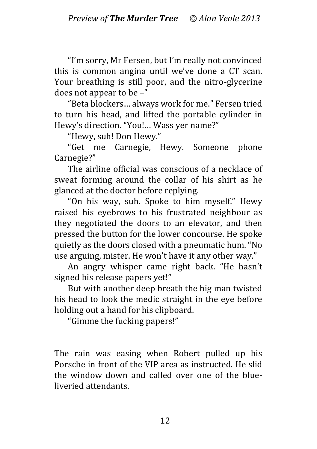"I'm sorry, Mr Fersen, but I'm really not convinced this is common angina until we've done a CT scan. Your breathing is still poor, and the nitro-glycerine does not appear to be –"

"Beta blockers… always work for me." Fersen tried to turn his head, and lifted the portable cylinder in Hewy's direction. "You!… Wass yer name?"

"Hewy, suh! Don Hewy."

"Get me Carnegie, Hewy. Someone phone Carnegie?"

The airline official was conscious of a necklace of sweat forming around the collar of his shirt as he glanced at the doctor before replying.

"On his way, suh. Spoke to him myself." Hewy raised his eyebrows to his frustrated neighbour as they negotiated the doors to an elevator, and then pressed the button for the lower concourse. He spoke quietly as the doors closed with a pneumatic hum. "No use arguing, mister. He won't have it any other way."

An angry whisper came right back. "He hasn't signed his release papers yet!"

But with another deep breath the big man twisted his head to look the medic straight in the eye before holding out a hand for his clipboard.

"Gimme the fucking papers!"

The rain was easing when Robert pulled up his Porsche in front of the VIP area as instructed. He slid the window down and called over one of the blueliveried attendants.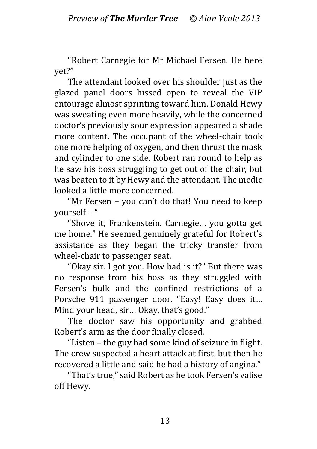"Robert Carnegie for Mr Michael Fersen. He here yet?"

The attendant looked over his shoulder just as the glazed panel doors hissed open to reveal the VIP entourage almost sprinting toward him. Donald Hewy was sweating even more heavily, while the concerned doctor's previously sour expression appeared a shade more content. The occupant of the wheel-chair took one more helping of oxygen, and then thrust the mask and cylinder to one side. Robert ran round to help as he saw his boss struggling to get out of the chair, but was beaten to it by Hewy and the attendant. The medic looked a little more concerned.

"Mr Fersen – you can't do that! You need to keep yourself – "

"Shove it, Frankenstein. Carnegie… you gotta get me home." He seemed genuinely grateful for Robert's assistance as they began the tricky transfer from wheel-chair to passenger seat.

"Okay sir. I got you. How bad is it?" But there was no response from his boss as they struggled with Fersen's bulk and the confined restrictions of a Porsche 911 passenger door. "Easy! Easy does it… Mind your head, sir… Okay, that's good."

The doctor saw his opportunity and grabbed Robert's arm as the door finally closed.

"Listen – the guy had some kind of seizure in flight. The crew suspected a heart attack at first, but then he recovered a little and said he had a history of angina."

"That's true," said Robert as he took Fersen's valise off Hewy.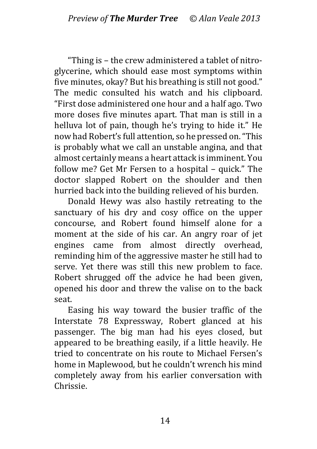"Thing is – the crew administered a tablet of nitroglycerine, which should ease most symptoms within five minutes, okay? But his breathing is still not good." The medic consulted his watch and his clipboard. "First dose administered one hour and a half ago. Two more doses five minutes apart. That man is still in a helluva lot of pain, though he's trying to hide it." He now had Robert's full attention, so he pressed on. "This is probably what we call an unstable angina, and that almost certainly means a heart attack is imminent. You follow me? Get Mr Fersen to a hospital – quick." The doctor slapped Robert on the shoulder and then hurried back into the building relieved of his burden.

Donald Hewy was also hastily retreating to the sanctuary of his dry and cosy office on the upper concourse, and Robert found himself alone for a moment at the side of his car. An angry roar of jet engines came from almost directly overhead, reminding him of the aggressive master he still had to serve. Yet there was still this new problem to face. Robert shrugged off the advice he had been given, opened his door and threw the valise on to the back seat.

Easing his way toward the busier traffic of the Interstate 78 Expressway, Robert glanced at his passenger. The big man had his eyes closed, but appeared to be breathing easily, if a little heavily. He tried to concentrate on his route to Michael Fersen's home in Maplewood, but he couldn't wrench his mind completely away from his earlier conversation with Chrissie.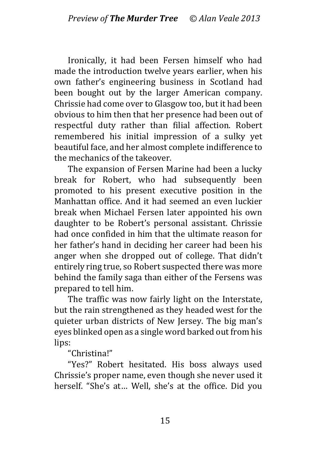Ironically, it had been Fersen himself who had made the introduction twelve years earlier, when his own father's engineering business in Scotland had been bought out by the larger American company. Chrissie had come over to Glasgow too, but it had been obvious to him then that her presence had been out of respectful duty rather than filial affection. Robert remembered his initial impression of a sulky yet beautiful face, and her almost complete indifference to the mechanics of the takeover.

The expansion of Fersen Marine had been a lucky break for Robert, who had subsequently been promoted to his present executive position in the Manhattan office. And it had seemed an even luckier break when Michael Fersen later appointed his own daughter to be Robert's personal assistant. Chrissie had once confided in him that the ultimate reason for her father's hand in deciding her career had been his anger when she dropped out of college. That didn't entirely ring true, so Robert suspected there was more behind the family saga than either of the Fersens was prepared to tell him.

The traffic was now fairly light on the Interstate, but the rain strengthened as they headed west for the quieter urban districts of New Jersey. The big man's eyes blinked open as a single word barked out from his lips:

"Christina!"

"Yes?" Robert hesitated. His boss always used Chrissie's proper name, even though she never used it herself. "She's at… Well, she's at the office. Did you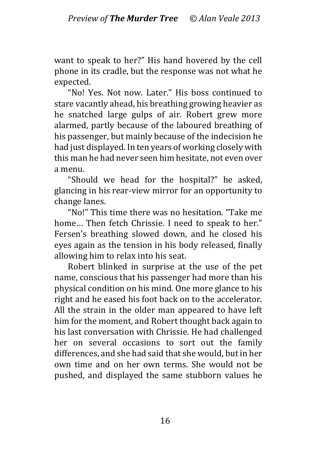want to speak to her?" His hand hovered by the cell phone in its cradle, but the response was not what he expected.

"No! Yes. Not now. Later." His boss continued to stare vacantly ahead, his breathing growing heavier as he snatched large gulps of air. Robert grew more alarmed, partly because of the laboured breathing of his passenger, but mainly because of the indecision he had just displayed. In ten years of working closely with this man he had never seen him hesitate, not even over a menu.

"Should we head for the hospital?" he asked, glancing in his rear-view mirror for an opportunity to change lanes.

"No!" This time there was no hesitation. "Take me home... Then fetch Chrissie. I need to speak to her." Fersen's breathing slowed down, and he closed his eyes again as the tension in his body released, finally allowing him to relax into his seat.

Robert blinked in surprise at the use of the pet name, conscious that his passenger had more than his physical condition on his mind. One more glance to his right and he eased his foot back on to the accelerator. All the strain in the older man appeared to have left him for the moment, and Robert thought back again to his last conversation with Chrissie. He had challenged her on several occasions to sort out the family differences, and she had said that she would, but in her own time and on her own terms. She would not be pushed, and displayed the same stubborn values he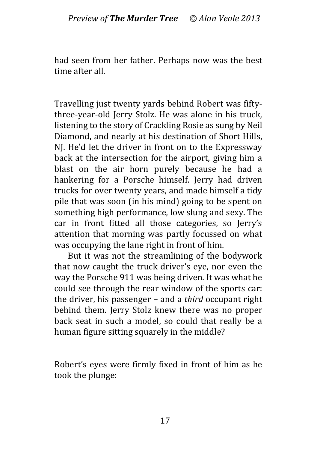had seen from her father. Perhaps now was the best time after all.

Travelling just twenty yards behind Robert was fiftythree-year-old Jerry Stolz. He was alone in his truck, listening to the story of Crackling Rosie as sung by Neil Diamond, and nearly at his destination of Short Hills, NI. He'd let the driver in front on to the Expressway back at the intersection for the airport, giving him a blast on the air horn purely because he had a hankering for a Porsche himself. Jerry had driven trucks for over twenty years, and made himself a tidy pile that was soon (in his mind) going to be spent on something high performance, low slung and sexy. The car in front fitted all those categories, so Jerry's attention that morning was partly focussed on what was occupying the lane right in front of him.

But it was not the streamlining of the bodywork that now caught the truck driver's eye, nor even the way the Porsche 911 was being driven. It was what he could see through the rear window of the sports car: the driver, his passenger – and a *third* occupant right behind them. Jerry Stolz knew there was no proper back seat in such a model, so could that really be a human figure sitting squarely in the middle?

Robert's eyes were firmly fixed in front of him as he took the plunge: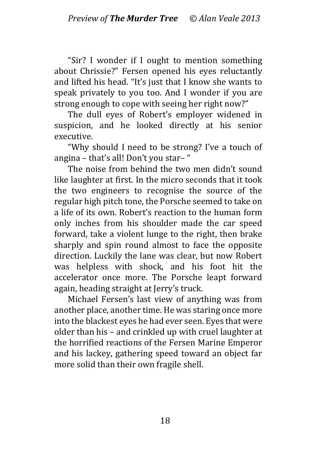"Sir? I wonder if I ought to mention something about Chrissie?" Fersen opened his eyes reluctantly and lifted his head. "It's just that I know she wants to speak privately to you too. And I wonder if you are strong enough to cope with seeing her right now?"

The dull eyes of Robert's employer widened in suspicion, and he looked directly at his senior executive.

"Why should I need to be strong? I've a touch of angina – that's all! Don't you star– "

The noise from behind the two men didn't sound like laughter at first. In the micro seconds that it took the two engineers to recognise the source of the regular high pitch tone, the Porsche seemed to take on a life of its own. Robert's reaction to the human form only inches from his shoulder made the car speed forward, take a violent lunge to the right, then brake sharply and spin round almost to face the opposite direction. Luckily the lane was clear, but now Robert was helpless with shock, and his foot hit the accelerator once more. The Porsche leapt forward again, heading straight at Jerry's truck.

Michael Fersen's last view of anything was from another place, another time. He was staring once more into the blackest eyes he had ever seen. Eyes that were older than his – and crinkled up with cruel laughter at the horrified reactions of the Fersen Marine Emperor and his lackey, gathering speed toward an object far more solid than their own fragile shell.